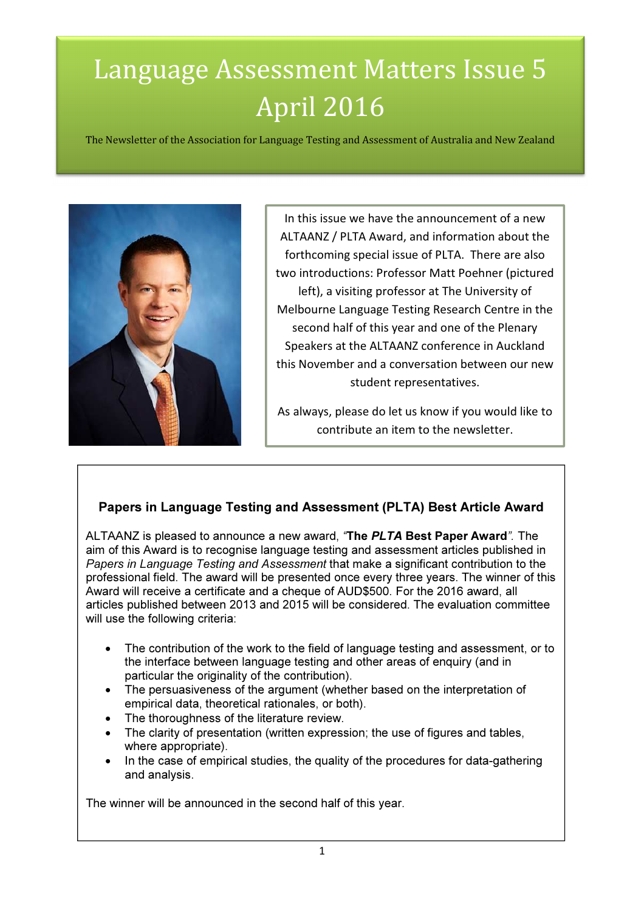# Language Assessment Matters Issue 5 April 2016

The Newsletter of the Association for Language Testing and Assessment of Australia and New Zealand



In this issue we have the announcement of a new ALTAANZ / PLTA Award, and information about the forthcoming special issue of PLTA. There are also two introductions: Professor Matt Poehner (pictured left), a visiting professor at The University of Melbourne Language Testing Research Centre in the second half of this year and one of the Plenary Speakers at the ALTAANZ conference in Auckland this November and a conversation between our new student representatives.

As always, please do let us know if you would like to contribute an item to the newsletter.

# Papers in Language Testing and Assessment (PLTA) Best Article Award

ALTAANZ is pleased to announce a new award, "The PLTA Best Paper Award". The aim of this Award is to recognise language testing and assessment articles published in Papers in Language Testing and Assessment that make a significant contribution to the professional field. The award will be presented once every three years. The winner of this Award will receive a certificate and a cheque of AUD\$500. For the 2016 award, all articles published between 2013 and 2015 will be considered. The evaluation committee will use the following criteria:

- The contribution of the work to the field of language testing and assessment, or to the interface between language testing and other areas of enquiry (and in particular the originality of the contribution).
- The persuasiveness of the argument (whether based on the interpretation of empirical data, theoretical rationales, or both).
- The thoroughness of the literature review.
- The clarity of presentation (written expression; the use of figures and tables, where appropriate).
- In the case of empirical studies, the quality of the procedures for data-gathering and analysis.

The winner will be announced in the second half of this year.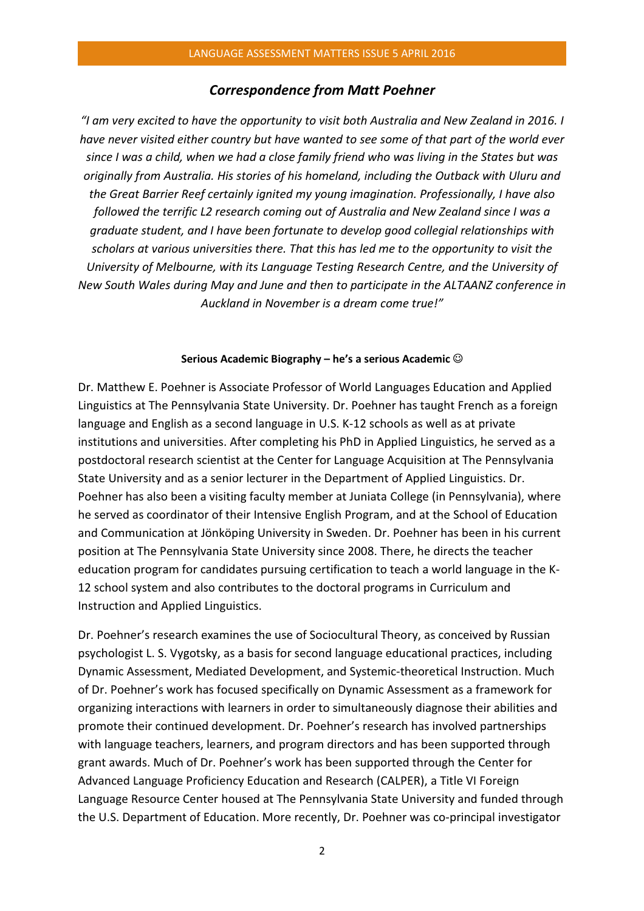### Correspondence from Matt Poehner

"I am very excited to have the opportunity to visit both Australia and New Zealand in 2016. I have never visited either country but have wanted to see some of that part of the world ever since I was a child, when we had a close family friend who was living in the States but was originally from Australia. His stories of his homeland, including the Outback with Uluru and the Great Barrier Reef certainly ignited my young imagination. Professionally, I have also followed the terrific L2 research coming out of Australia and New Zealand since I was a graduate student, and I have been fortunate to develop good collegial relationships with scholars at various universities there. That this has led me to the opportunity to visit the University of Melbourne, with its Language Testing Research Centre, and the University of New South Wales during May and June and then to participate in the ALTAANZ conference in Auckland in November is a dream come true!"

#### Serious Academic Biography – he's a serious Academic  $\odot$

Dr. Matthew E. Poehner is Associate Professor of World Languages Education and Applied Linguistics at The Pennsylvania State University. Dr. Poehner has taught French as a foreign language and English as a second language in U.S. K-12 schools as well as at private institutions and universities. After completing his PhD in Applied Linguistics, he served as a postdoctoral research scientist at the Center for Language Acquisition at The Pennsylvania State University and as a senior lecturer in the Department of Applied Linguistics. Dr. Poehner has also been a visiting faculty member at Juniata College (in Pennsylvania), where he served as coordinator of their Intensive English Program, and at the School of Education and Communication at Jönköping University in Sweden. Dr. Poehner has been in his current position at The Pennsylvania State University since 2008. There, he directs the teacher education program for candidates pursuing certification to teach a world language in the K-12 school system and also contributes to the doctoral programs in Curriculum and Instruction and Applied Linguistics.

Dr. Poehner's research examines the use of Sociocultural Theory, as conceived by Russian psychologist L. S. Vygotsky, as a basis for second language educational practices, including Dynamic Assessment, Mediated Development, and Systemic-theoretical Instruction. Much of Dr. Poehner's work has focused specifically on Dynamic Assessment as a framework for organizing interactions with learners in order to simultaneously diagnose their abilities and promote their continued development. Dr. Poehner's research has involved partnerships with language teachers, learners, and program directors and has been supported through grant awards. Much of Dr. Poehner's work has been supported through the Center for Advanced Language Proficiency Education and Research (CALPER), a Title VI Foreign Language Resource Center housed at The Pennsylvania State University and funded through the U.S. Department of Education. More recently, Dr. Poehner was co-principal investigator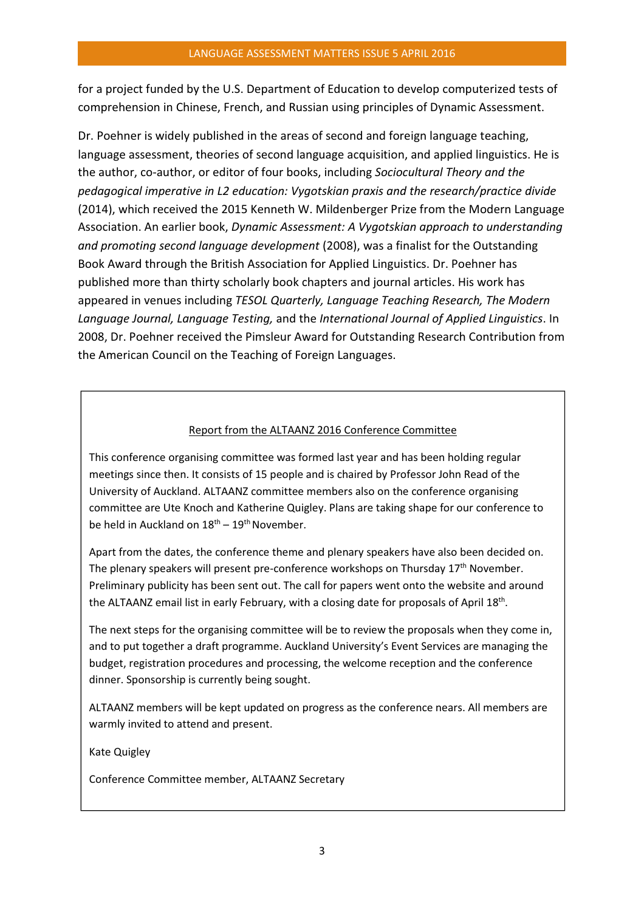for a project funded by the U.S. Department of Education to develop computerized tests of comprehension in Chinese, French, and Russian using principles of Dynamic Assessment.

Dr. Poehner is widely published in the areas of second and foreign language teaching, language assessment, theories of second language acquisition, and applied linguistics. He is the author, co-author, or editor of four books, including Sociocultural Theory and the pedagogical imperative in L2 education: Vygotskian praxis and the research/practice divide (2014), which received the 2015 Kenneth W. Mildenberger Prize from the Modern Language Association. An earlier book, Dynamic Assessment: A Vygotskian approach to understanding and promoting second language development (2008), was a finalist for the Outstanding Book Award through the British Association for Applied Linguistics. Dr. Poehner has published more than thirty scholarly book chapters and journal articles. His work has appeared in venues including TESOL Quarterly, Language Teaching Research, The Modern Language Journal, Language Testing, and the International Journal of Applied Linguistics. In 2008, Dr. Poehner received the Pimsleur Award for Outstanding Research Contribution from the American Council on the Teaching of Foreign Languages.

### Report from the ALTAANZ 2016 Conference Committee

This conference organising committee was formed last year and has been holding regular meetings since then. It consists of 15 people and is chaired by Professor John Read of the University of Auckland. ALTAANZ committee members also on the conference organising committee are Ute Knoch and Katherine Quigley. Plans are taking shape for our conference to be held in Auckland on  $18<sup>th</sup> - 19<sup>th</sup>$  November.

Apart from the dates, the conference theme and plenary speakers have also been decided on. The plenary speakers will present pre-conference workshops on Thursday 17<sup>th</sup> November. Preliminary publicity has been sent out. The call for papers went onto the website and around the ALTAANZ email list in early February, with a closing date for proposals of April 18<sup>th</sup>.

The next steps for the organising committee will be to review the proposals when they come in, and to put together a draft programme. Auckland University's Event Services are managing the budget, registration procedures and processing, the welcome reception and the conference dinner. Sponsorship is currently being sought.

ALTAANZ members will be kept updated on progress as the conference nears. All members are warmly invited to attend and present.

Kate Quigley

Conference Committee member, ALTAANZ Secretary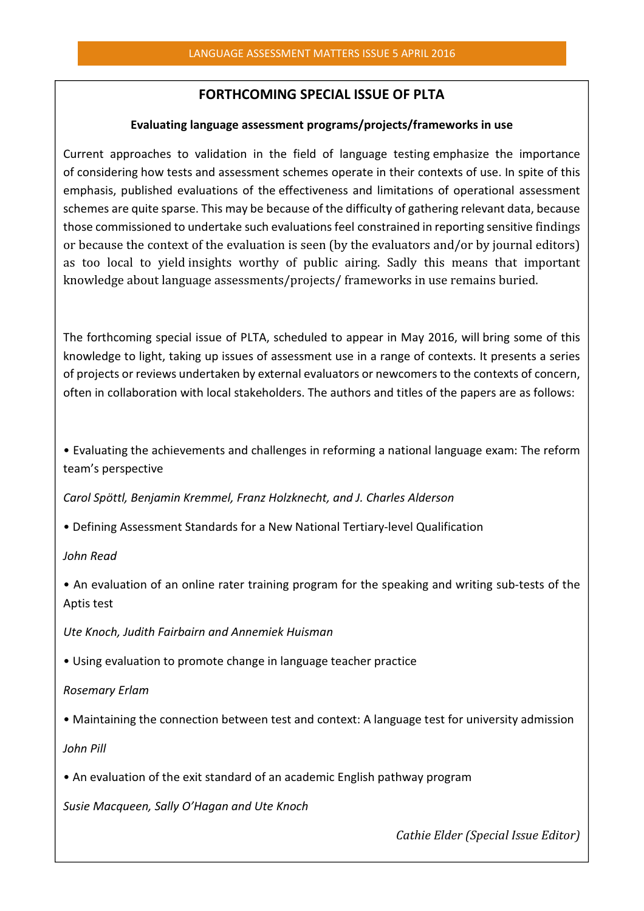## FORTHCOMING SPECIAL ISSUE OF PLTA

### Evaluating language assessment programs/projects/frameworks in use

Current approaches to validation in the field of language testing emphasize the importance of considering how tests and assessment schemes operate in their contexts of use. In spite of this emphasis, published evaluations of the effectiveness and limitations of operational assessment schemes are quite sparse. This may be because of the difficulty of gathering relevant data, because those commissioned to undertake such evaluations feel constrained in reporting sensitive findings or because the context of the evaluation is seen (by the evaluators and/or by journal editors) as too local to yield insights worthy of public airing. Sadly this means that important knowledge about language assessments/projects/ frameworks in use remains buried.

The forthcoming special issue of PLTA, scheduled to appear in May 2016, will bring some of this knowledge to light, taking up issues of assessment use in a range of contexts. It presents a series of projects or reviews undertaken by external evaluators or newcomers to the contexts of concern, often in collaboration with local stakeholders. The authors and titles of the papers are as follows:

• Evaluating the achievements and challenges in reforming a national language exam: The reform team's perspective

Carol Spöttl, Benjamin Kremmel, Franz Holzknecht, and J. Charles Alderson

• Defining Assessment Standards for a New National Tertiary-level Qualification

John Read

• An evaluation of an online rater training program for the speaking and writing sub-tests of the Aptis test

Ute Knoch, Judith Fairbairn and Annemiek Huisman

• Using evaluation to promote change in language teacher practice

Rosemary Erlam

• Maintaining the connection between test and context: A language test for university admission

John Pill

• An evaluation of the exit standard of an academic English pathway program

Susie Macqueen, Sally O'Hagan and Ute Knoch

Cathie Elder (Special Issue Editor)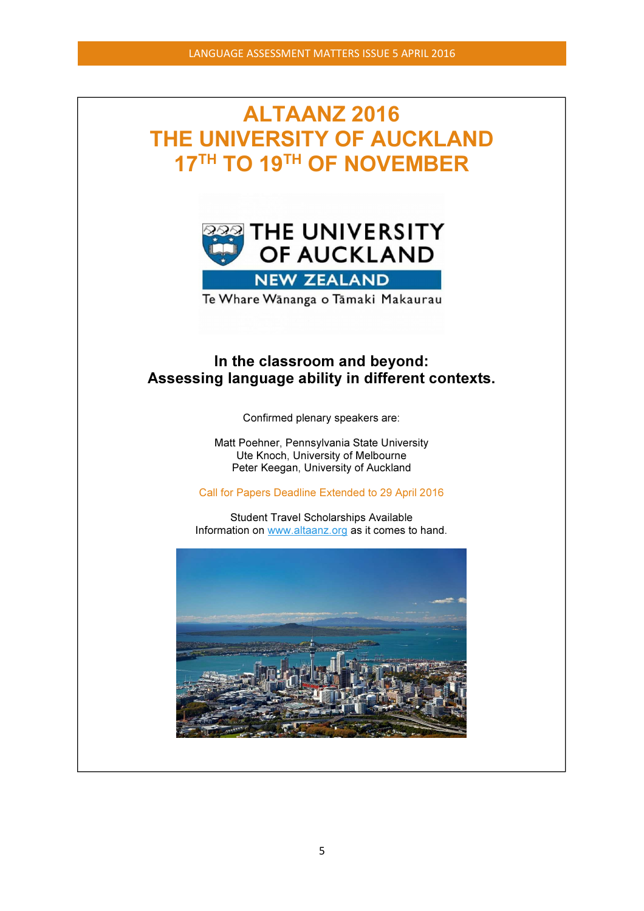# ALTAANZ 2016 THE UNIVERSITY OF AUCKLAND 17<sup>TH</sup> TO 19<sup>TH</sup> OF NOVEMBER



Te Whare Wānanga o Tāmaki Makaurau

# In the classroom and beyond: Assessing language ability in different contexts.

Confirmed plenary speakers are:

Matt Poehner, Pennsylvania State University Ute Knoch, University of Melbourne Peter Keegan, University of Auckland

Call for Papers Deadline Extended to 29 April 2016

Student Travel Scholarships Available Information on www.altaanz.org as it comes to hand.

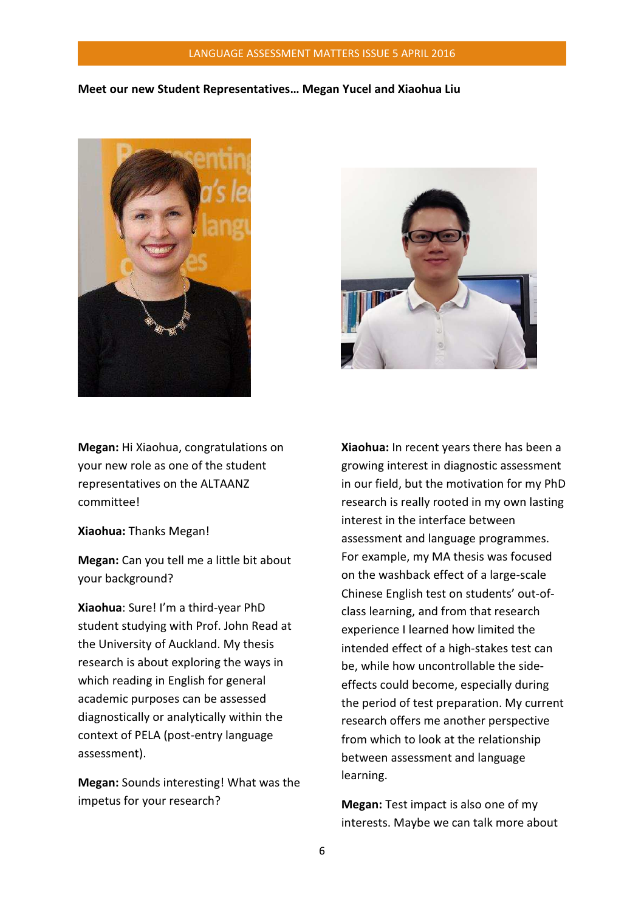### LANGUAGE ASSESSMENT MATTERS ISSUE 5 APRIL 2016

### Meet our new Student Representatives… Megan Yucel and Xiaohua Liu





Megan: Hi Xiaohua, congratulations on your new role as one of the student representatives on the ALTAANZ committee!

Xiaohua: Thanks Megan!

Megan: Can you tell me a little bit about your background?

Xiaohua: Sure! I'm a third-year PhD student studying with Prof. John Read at the University of Auckland. My thesis research is about exploring the ways in which reading in English for general academic purposes can be assessed diagnostically or analytically within the context of PELA (post-entry language assessment).

Megan: Sounds interesting! What was the impetus for your research?

Xiaohua: In recent years there has been a growing interest in diagnostic assessment in our field, but the motivation for my PhD research is really rooted in my own lasting interest in the interface between assessment and language programmes. For example, my MA thesis was focused on the washback effect of a large-scale Chinese English test on students' out-ofclass learning, and from that research experience I learned how limited the intended effect of a high-stakes test can be, while how uncontrollable the sideeffects could become, especially during the period of test preparation. My current research offers me another perspective from which to look at the relationship between assessment and language learning.

Megan: Test impact is also one of my interests. Maybe we can talk more about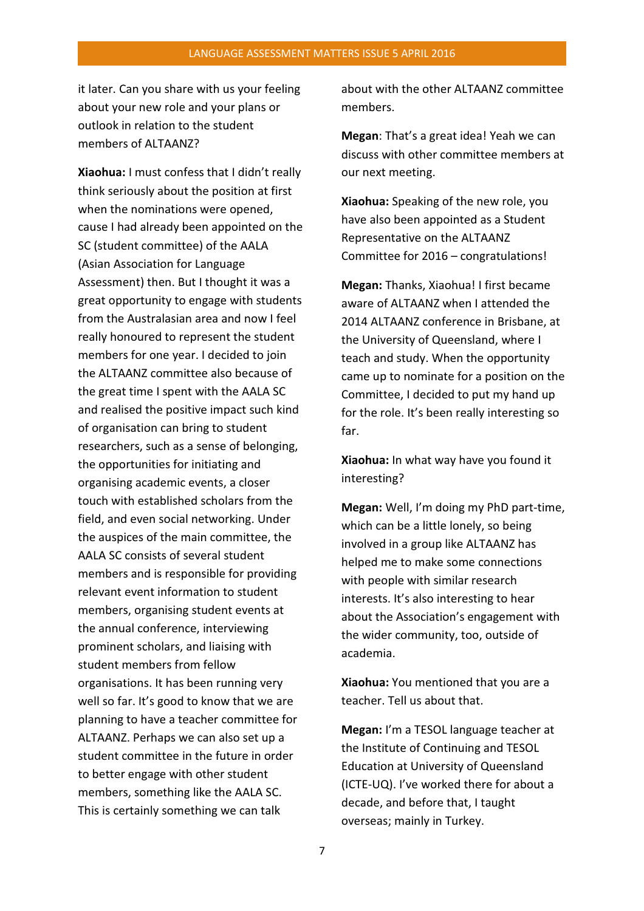it later. Can you share with us your feeling about your new role and your plans or outlook in relation to the student members of ALTAAN7?

Xiaohua: I must confess that I didn't really think seriously about the position at first when the nominations were opened, cause I had already been appointed on the SC (student committee) of the AALA (Asian Association for Language Assessment) then. But I thought it was a great opportunity to engage with students from the Australasian area and now I feel really honoured to represent the student members for one year. I decided to join the ALTAANZ committee also because of the great time I spent with the AALA SC and realised the positive impact such kind of organisation can bring to student researchers, such as a sense of belonging, the opportunities for initiating and organising academic events, a closer touch with established scholars from the field, and even social networking. Under the auspices of the main committee, the AALA SC consists of several student members and is responsible for providing relevant event information to student members, organising student events at the annual conference, interviewing prominent scholars, and liaising with student members from fellow organisations. It has been running very well so far. It's good to know that we are planning to have a teacher committee for ALTAANZ. Perhaps we can also set up a student committee in the future in order to better engage with other student members, something like the AALA SC. This is certainly something we can talk

about with the other ALTAANZ committee members.

Megan: That's a great idea! Yeah we can discuss with other committee members at our next meeting.

Xiaohua: Speaking of the new role, you have also been appointed as a Student Representative on the ALTAANZ Committee for 2016 – congratulations!

Megan: Thanks, Xiaohua! I first became aware of ALTAANZ when I attended the 2014 ALTAANZ conference in Brisbane, at the University of Queensland, where I teach and study. When the opportunity came up to nominate for a position on the Committee, I decided to put my hand up for the role. It's been really interesting so far.

Xiaohua: In what way have you found it interesting?

Megan: Well, I'm doing my PhD part-time, which can be a little lonely, so being involved in a group like ALTAANZ has helped me to make some connections with people with similar research interests. It's also interesting to hear about the Association's engagement with the wider community, too, outside of academia.

Xiaohua: You mentioned that you are a teacher. Tell us about that.

Megan: I'm a TESOL language teacher at the Institute of Continuing and TESOL Education at University of Queensland (ICTE-UQ). I've worked there for about a decade, and before that, I taught overseas; mainly in Turkey.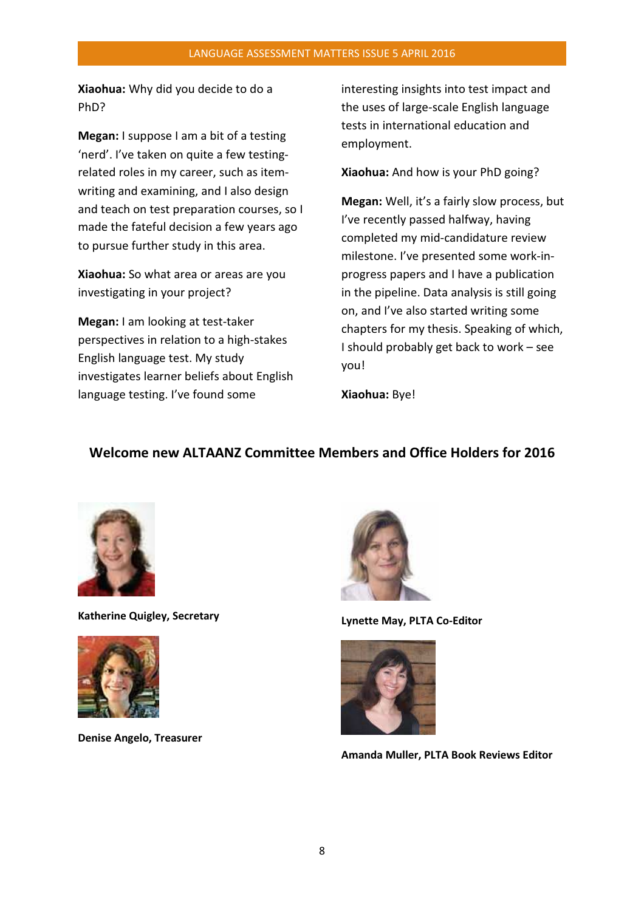Xiaohua: Why did you decide to do a PhD?

Megan: I suppose I am a bit of a testing 'nerd'. I've taken on quite a few testingrelated roles in my career, such as itemwriting and examining, and I also design and teach on test preparation courses, so I made the fateful decision a few years ago to pursue further study in this area.

Xiaohua: So what area or areas are you investigating in your project?

Megan: I am looking at test-taker perspectives in relation to a high-stakes English language test. My study investigates learner beliefs about English language testing. I've found some

interesting insights into test impact and the uses of large-scale English language tests in international education and employment.

Xiaohua: And how is your PhD going?

Megan: Well, it's a fairly slow process, but I've recently passed halfway, having completed my mid-candidature review milestone. I've presented some work-inprogress papers and I have a publication in the pipeline. Data analysis is still going on, and I've also started writing some chapters for my thesis. Speaking of which, I should probably get back to work – see you!

Xiaohua: Bye!

# Welcome new ALTAANZ Committee Members and Office Holders for 2016



Katherine Quigley, Secretary



Denise Angelo, Treasurer



Lynette May, PLTA Co-Editor



Amanda Muller, PLTA Book Reviews Editor